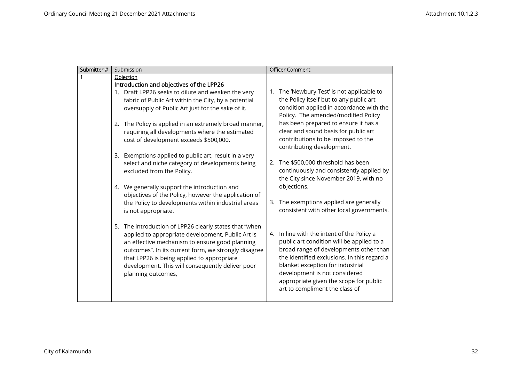| Submitter # | Submission                                                                                                                                                                                                                                                                                                                                    | <b>Officer Comment</b>                                                                                                                                                                                                                                                                                                            |
|-------------|-----------------------------------------------------------------------------------------------------------------------------------------------------------------------------------------------------------------------------------------------------------------------------------------------------------------------------------------------|-----------------------------------------------------------------------------------------------------------------------------------------------------------------------------------------------------------------------------------------------------------------------------------------------------------------------------------|
| 1           | Objection                                                                                                                                                                                                                                                                                                                                     |                                                                                                                                                                                                                                                                                                                                   |
|             | Introduction and objectives of the LPP26                                                                                                                                                                                                                                                                                                      |                                                                                                                                                                                                                                                                                                                                   |
|             | 1. Draft LPP26 seeks to dilute and weaken the very                                                                                                                                                                                                                                                                                            | 1. The 'Newbury Test' is not applicable to                                                                                                                                                                                                                                                                                        |
|             | fabric of Public Art within the City, by a potential<br>oversupply of Public Art just for the sake of it.                                                                                                                                                                                                                                     | the Policy itself but to any public art<br>condition applied in accordance with the                                                                                                                                                                                                                                               |
|             | 2. The Policy is applied in an extremely broad manner,<br>requiring all developments where the estimated<br>cost of development exceeds \$500,000.                                                                                                                                                                                            | Policy. The amended/modified Policy<br>has been prepared to ensure it has a<br>clear and sound basis for public art<br>contributions to be imposed to the<br>contributing development.                                                                                                                                            |
|             | 3. Exemptions applied to public art, result in a very<br>select and niche category of developments being<br>excluded from the Policy.                                                                                                                                                                                                         | 2. The \$500,000 threshold has been<br>continuously and consistently applied by<br>the City since November 2019, with no                                                                                                                                                                                                          |
|             | 4. We generally support the introduction and<br>objectives of the Policy, however the application of<br>the Policy to developments within industrial areas<br>is not appropriate.                                                                                                                                                             | objections.<br>3. The exemptions applied are generally<br>consistent with other local governments.                                                                                                                                                                                                                                |
|             | 5. The introduction of LPP26 clearly states that "when<br>applied to appropriate development, Public Art is<br>an effective mechanism to ensure good planning<br>outcomes". In its current form, we strongly disagree<br>that LPP26 is being applied to appropriate<br>development. This will consequently deliver poor<br>planning outcomes, | 4. In line with the intent of the Policy a<br>public art condition will be applied to a<br>broad range of developments other than<br>the identified exclusions. In this regard a<br>blanket exception for industrial<br>development is not considered<br>appropriate given the scope for public<br>art to compliment the class of |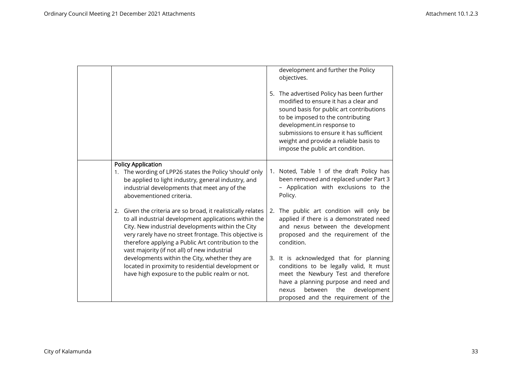|                                                                                                                                                                                                                                                                                                                                             |    | development and further the Policy<br>objectives.                                                                                                                                                                                                                                                                       |
|---------------------------------------------------------------------------------------------------------------------------------------------------------------------------------------------------------------------------------------------------------------------------------------------------------------------------------------------|----|-------------------------------------------------------------------------------------------------------------------------------------------------------------------------------------------------------------------------------------------------------------------------------------------------------------------------|
|                                                                                                                                                                                                                                                                                                                                             | 5. | The advertised Policy has been further<br>modified to ensure it has a clear and<br>sound basis for public art contributions<br>to be imposed to the contributing<br>development.in response to<br>submissions to ensure it has sufficient<br>weight and provide a reliable basis to<br>impose the public art condition. |
| <b>Policy Application</b>                                                                                                                                                                                                                                                                                                                   |    |                                                                                                                                                                                                                                                                                                                         |
| 1. The wording of LPP26 states the Policy 'should' only<br>be applied to light industry, general industry, and<br>industrial developments that meet any of the<br>abovementioned criteria.                                                                                                                                                  |    | 1. Noted, Table 1 of the draft Policy has<br>been removed and replaced under Part 3<br>- Application with exclusions to the<br>Policy.                                                                                                                                                                                  |
| 2. Given the criteria are so broad, it realistically relates<br>to all industrial development applications within the<br>City. New industrial developments within the City<br>very rarely have no street frontage. This objective is<br>therefore applying a Public Art contribution to the<br>vast majority (if not all) of new industrial | 2. | The public art condition will only be<br>applied if there is a demonstrated need<br>and nexus between the development<br>proposed and the requirement of the<br>condition.                                                                                                                                              |
| developments within the City, whether they are<br>located in proximity to residential development or<br>have high exposure to the public realm or not.                                                                                                                                                                                      |    | 3. It is acknowledged that for planning<br>conditions to be legally valid, It must<br>meet the Newbury Test and therefore<br>have a planning purpose and need and<br>between<br>the<br>development<br>nexus<br>proposed and the requirement of the                                                                      |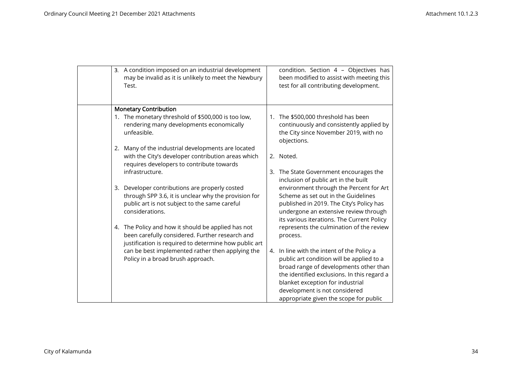| 3. A condition imposed on an industrial development<br>may be invalid as it is unlikely to meet the Newbury<br>Test.                                                          |    | condition. Section 4 - Objectives has<br>been modified to assist with meeting this<br>test for all contributing development.                                                                                                                                                                 |
|-------------------------------------------------------------------------------------------------------------------------------------------------------------------------------|----|----------------------------------------------------------------------------------------------------------------------------------------------------------------------------------------------------------------------------------------------------------------------------------------------|
| <b>Monetary Contribution</b>                                                                                                                                                  |    |                                                                                                                                                                                                                                                                                              |
| The monetary threshold of \$500,000 is too low,<br>1.<br>rendering many developments economically<br>unfeasible.                                                              | 1. | The \$500,000 threshold has been<br>continuously and consistently applied by<br>the City since November 2019, with no<br>objections.                                                                                                                                                         |
| Many of the industrial developments are located<br>2.<br>with the City's developer contribution areas which                                                                   |    | 2. Noted.                                                                                                                                                                                                                                                                                    |
| requires developers to contribute towards<br>infrastructure.                                                                                                                  |    | 3. The State Government encourages the<br>inclusion of public art in the built                                                                                                                                                                                                               |
| Developer contributions are properly costed<br>3.<br>through SPP 3.6, it is unclear why the provision for<br>public art is not subject to the same careful<br>considerations. |    | environment through the Percent for Art<br>Scheme as set out in the Guidelines<br>published in 2019. The City's Policy has<br>undergone an extensive review through<br>its various iterations. The Current Policy                                                                            |
| 4. The Policy and how it should be applied has not<br>been carefully considered. Further research and<br>justification is required to determine how public art                |    | represents the culmination of the review<br>process.                                                                                                                                                                                                                                         |
| can be best implemented rather then applying the<br>Policy in a broad brush approach.                                                                                         | 4. | In line with the intent of the Policy a<br>public art condition will be applied to a<br>broad range of developments other than<br>the identified exclusions. In this regard a<br>blanket exception for industrial<br>development is not considered<br>appropriate given the scope for public |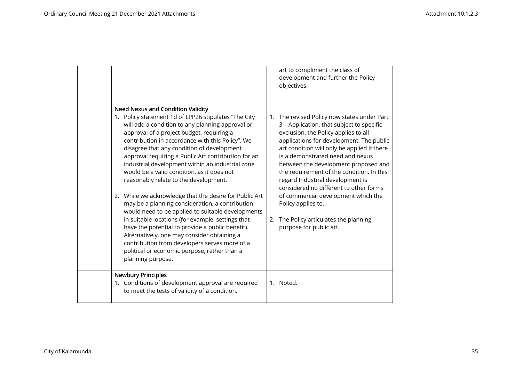|                           |                                                                                                                                                                                                                                                                                                                                                                                                                                                                                                                                                                                                                                                                                                                                                                                                                                                                                                                                                       | art to compliment the class of<br>development and further the Policy<br>objectives.                                                                                                                                                                                                                                                                                                                                                                                                                                                                                  |
|---------------------------|-------------------------------------------------------------------------------------------------------------------------------------------------------------------------------------------------------------------------------------------------------------------------------------------------------------------------------------------------------------------------------------------------------------------------------------------------------------------------------------------------------------------------------------------------------------------------------------------------------------------------------------------------------------------------------------------------------------------------------------------------------------------------------------------------------------------------------------------------------------------------------------------------------------------------------------------------------|----------------------------------------------------------------------------------------------------------------------------------------------------------------------------------------------------------------------------------------------------------------------------------------------------------------------------------------------------------------------------------------------------------------------------------------------------------------------------------------------------------------------------------------------------------------------|
|                           | <b>Need Nexus and Condition Validity</b><br>1. Policy statement 1d of LPP26 stipulates "The City<br>will add a condition to any planning approval or<br>approval of a project budget, requiring a<br>contribution in accordance with this Policy". We<br>disagree that any condition of development<br>approval requiring a Public Art contribution for an<br>industrial development within an industrial zone<br>would be a valid condition, as it does not<br>reasonably relate to the development.<br>2. While we acknowledge that the desire for Public Art<br>may be a planning consideration, a contribution<br>would need to be applied to suitable developments<br>in suitable locations (for example, settings that<br>have the potential to provide a public benefit).<br>Alternatively, one may consider obtaining a<br>contribution from developers serves more of a<br>political or economic purpose, rather than a<br>planning purpose. | 1. The revised Policy now states under Part<br>3 - Application, that subject to specific<br>exclusion, the Policy applies to all<br>applications for development. The public<br>art condition will only be applied if there<br>is a demonstrated need and nexus<br>between the development proposed and<br>the requirement of the condition. In this<br>regard Industrial development is<br>considered no different to other forms<br>of commercial development which the<br>Policy applies to.<br>2. The Policy articulates the planning<br>purpose for public art. |
| <b>Newbury Principles</b> | 1. Conditions of development approval are required<br>to meet the tests of validity of a condition.                                                                                                                                                                                                                                                                                                                                                                                                                                                                                                                                                                                                                                                                                                                                                                                                                                                   | 1. Noted.                                                                                                                                                                                                                                                                                                                                                                                                                                                                                                                                                            |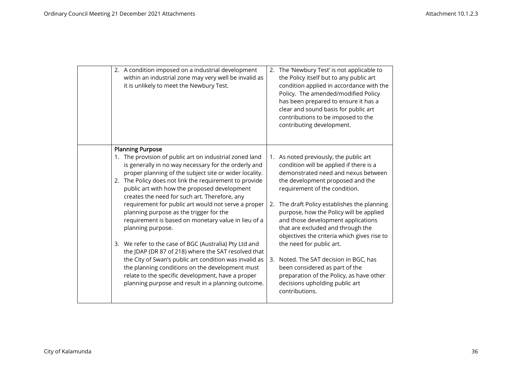| 2. A condition imposed on a industrial development<br>within an industrial zone may very well be invalid as<br>it is unlikely to meet the Newbury Test.                                                                                                                                                                                                                                                                                                              |    | 2. The 'Newbury Test' is not applicable to<br>the Policy itself but to any public art<br>condition applied in accordance with the<br>Policy. The amended/modified Policy<br>has been prepared to ensure it has a<br>clear and sound basis for public art<br>contributions to be imposed to the<br>contributing development. |
|----------------------------------------------------------------------------------------------------------------------------------------------------------------------------------------------------------------------------------------------------------------------------------------------------------------------------------------------------------------------------------------------------------------------------------------------------------------------|----|-----------------------------------------------------------------------------------------------------------------------------------------------------------------------------------------------------------------------------------------------------------------------------------------------------------------------------|
| <b>Planning Purpose</b><br>1. The provision of public art on industrial zoned land<br>is generally in no way necessary for the orderly and<br>proper planning of the subject site or wider locality.<br>The Policy does not link the requirement to provide<br>2.<br>public art with how the proposed development<br>creates the need for such art. Therefore, any<br>requirement for public art would not serve a proper<br>planning purpose as the trigger for the | 2. | 1. As noted previously, the public art<br>condition will be applied if there is a<br>demonstrated need and nexus between<br>the development proposed and the<br>requirement of the condition.<br>The draft Policy establishes the planning<br>purpose, how the Policy will be applied                                       |
| requirement is based on monetary value in lieu of a<br>planning purpose.<br>3. We refer to the case of BGC (Australia) Pty Ltd and<br>the JDAP (DR 87 of 218) where the SAT resolved that                                                                                                                                                                                                                                                                            |    | and those development applications<br>that are excluded and through the<br>objectives the criteria which gives rise to<br>the need for public art.                                                                                                                                                                          |
| the City of Swan's public art condition was invalid as<br>the planning conditions on the development must<br>relate to the specific development, have a proper<br>planning purpose and result in a planning outcome.                                                                                                                                                                                                                                                 | 3. | Noted. The SAT decision in BGC, has<br>been considered as part of the<br>preparation of the Policy, as have other<br>decisions upholding public art<br>contributions.                                                                                                                                                       |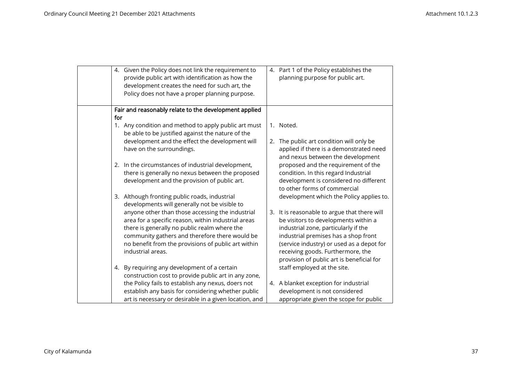| 4. Given the Policy does not link the requirement to<br>provide public art with identification as how the<br>development creates the need for such art, the<br>Policy does not have a proper planning purpose.                                                                        |    | 4. Part 1 of the Policy establishes the<br>planning purpose for public art.                                                                                                                                                                                                                      |
|---------------------------------------------------------------------------------------------------------------------------------------------------------------------------------------------------------------------------------------------------------------------------------------|----|--------------------------------------------------------------------------------------------------------------------------------------------------------------------------------------------------------------------------------------------------------------------------------------------------|
| Fair and reasonably relate to the development applied                                                                                                                                                                                                                                 |    |                                                                                                                                                                                                                                                                                                  |
| for                                                                                                                                                                                                                                                                                   |    |                                                                                                                                                                                                                                                                                                  |
| 1. Any condition and method to apply public art must<br>be able to be justified against the nature of the                                                                                                                                                                             |    | 1. Noted.                                                                                                                                                                                                                                                                                        |
| development and the effect the development will<br>have on the surroundings.                                                                                                                                                                                                          |    | 2. The public art condition will only be<br>applied if there is a demonstrated need<br>and nexus between the development                                                                                                                                                                         |
| 2. In the circumstances of industrial development,<br>there is generally no nexus between the proposed<br>development and the provision of public art.                                                                                                                                |    | proposed and the requirement of the<br>condition. In this regard Industrial<br>development is considered no different<br>to other forms of commercial                                                                                                                                            |
| 3. Although fronting public roads, industrial<br>developments will generally not be visible to                                                                                                                                                                                        |    | development which the Policy applies to.                                                                                                                                                                                                                                                         |
| anyone other than those accessing the industrial<br>area for a specific reason, within industrial areas<br>there is generally no public realm where the<br>community gathers and therefore there would be<br>no benefit from the provisions of public art within<br>industrial areas. | 3. | It is reasonable to argue that there will<br>be visitors to developments within a<br>industrial zone, particularly if the<br>industrial premises has a shop front<br>(service industry) or used as a depot for<br>receiving goods. Furthermore, the<br>provision of public art is beneficial for |
| 4. By requiring any development of a certain<br>construction cost to provide public art in any zone,                                                                                                                                                                                  |    | staff employed at the site.                                                                                                                                                                                                                                                                      |
| the Policy fails to establish any nexus, doers not<br>establish any basis for considering whether public<br>art is necessary or desirable in a given location, and                                                                                                                    |    | 4. A blanket exception for industrial<br>development is not considered<br>appropriate given the scope for public                                                                                                                                                                                 |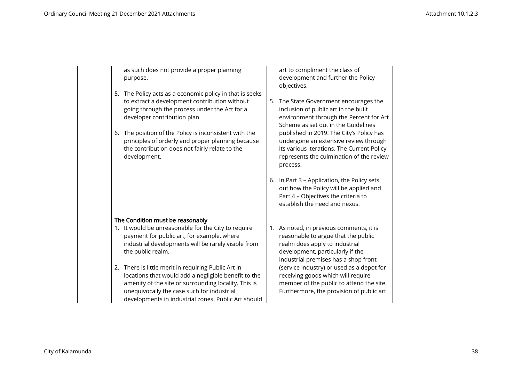| as such does not provide a proper planning<br>purpose.<br>5. The Policy acts as a economic policy in that is seeks                                                                                                                                                       |          | art to compliment the class of<br>development and further the Policy<br>objectives.                                                                                                           |
|--------------------------------------------------------------------------------------------------------------------------------------------------------------------------------------------------------------------------------------------------------------------------|----------|-----------------------------------------------------------------------------------------------------------------------------------------------------------------------------------------------|
| to extract a development contribution without<br>going through the process under the Act for a<br>developer contribution plan.                                                                                                                                           |          | 5. The State Government encourages the<br>inclusion of public art in the built<br>environment through the Percent for Art<br>Scheme as set out in the Guidelines                              |
| The position of the Policy is inconsistent with the<br>6.<br>principles of orderly and proper planning because<br>the contribution does not fairly relate to the<br>development.                                                                                         | process. | published in 2019. The City's Policy has<br>undergone an extensive review through<br>its various iterations. The Current Policy<br>represents the culmination of the review                   |
|                                                                                                                                                                                                                                                                          |          | 6. In Part 3 - Application, the Policy sets<br>out how the Policy will be applied and<br>Part 4 - Objectives the criteria to<br>establish the need and nexus.                                 |
| The Condition must be reasonably<br>1. It would be unreasonable for the City to require<br>payment for public art, for example, where<br>industrial developments will be rarely visible from<br>the public realm.                                                        |          | 1. As noted, in previous comments, it is<br>reasonable to argue that the public<br>realm does apply to industrial<br>development, particularly if the<br>industrial premises has a shop front |
| 2. There is little merit in requiring Public Art in<br>locations that would add a negligible benefit to the<br>amenity of the site or surrounding locality. This is<br>unequivocally the case such for industrial<br>developments in industrial zones. Public Art should |          | (service industry) or used as a depot for<br>receiving goods which will require<br>member of the public to attend the site.<br>Furthermore, the provision of public art                       |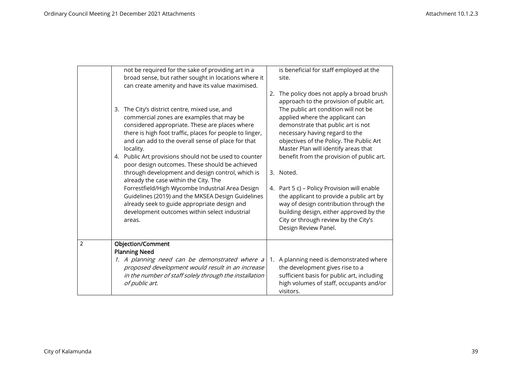|                | not be required for the sake of providing art in a<br>broad sense, but rather sought in locations where it                                                                                                                                                                                                                                                                                                                                                                                                                                                                                                                                                                                                                                                   | is beneficial for staff employed at the<br>site.                                                                                                                                                                                                                                                                                                                                                                                                                                                                                                                                                                                        |
|----------------|--------------------------------------------------------------------------------------------------------------------------------------------------------------------------------------------------------------------------------------------------------------------------------------------------------------------------------------------------------------------------------------------------------------------------------------------------------------------------------------------------------------------------------------------------------------------------------------------------------------------------------------------------------------------------------------------------------------------------------------------------------------|-----------------------------------------------------------------------------------------------------------------------------------------------------------------------------------------------------------------------------------------------------------------------------------------------------------------------------------------------------------------------------------------------------------------------------------------------------------------------------------------------------------------------------------------------------------------------------------------------------------------------------------------|
|                | can create amenity and have its value maximised.<br>3. The City's district centre, mixed use, and<br>commercial zones are examples that may be<br>considered appropriate. These are places where<br>there is high foot traffic, places for people to linger,<br>and can add to the overall sense of place for that<br>locality.<br>4. Public Art provisions should not be used to counter<br>poor design outcomes. These should be achieved<br>through development and design control, which is<br>already the case within the City. The<br>Forrestfield/High Wycombe Industrial Area Design<br>Guidelines (2019) and the MKSEA Design Guidelines<br>already seek to guide appropriate design and<br>development outcomes within select industrial<br>areas. | 2. The policy does not apply a broad brush<br>approach to the provision of public art.<br>The public art condition will not be<br>applied where the applicant can<br>demonstrate that public art is not<br>necessary having regard to the<br>objectives of the Policy. The Public Art<br>Master Plan will identify areas that<br>benefit from the provision of public art.<br>3. Noted.<br>4. Part 5 c) - Policy Provision will enable<br>the applicant to provide a public art by<br>way of design contribution through the<br>building design, either approved by the<br>City or through review by the City's<br>Design Review Panel. |
| $\overline{2}$ | Objection/Comment<br><b>Planning Need</b><br>1. A planning need can be demonstrated where a<br>proposed development would result in an increase<br>in the number of staff solely through the installation<br>of public art.                                                                                                                                                                                                                                                                                                                                                                                                                                                                                                                                  | 1. A planning need is demonstrated where<br>the development gives rise to a<br>sufficient basis for public art, including<br>high volumes of staff, occupants and/or<br>visitors.                                                                                                                                                                                                                                                                                                                                                                                                                                                       |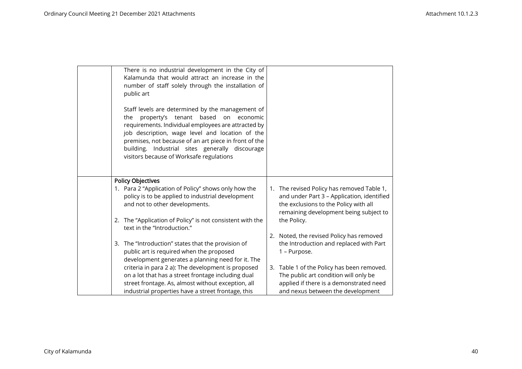| There is no industrial development in the City of<br>Kalamunda that would attract an increase in the<br>number of staff solely through the installation of<br>public art                                                                                                                                                                                            |    |                                                                                                                                                                             |
|---------------------------------------------------------------------------------------------------------------------------------------------------------------------------------------------------------------------------------------------------------------------------------------------------------------------------------------------------------------------|----|-----------------------------------------------------------------------------------------------------------------------------------------------------------------------------|
| Staff levels are determined by the management of<br>property's tenant based<br>on economic<br>the<br>requirements. Individual employees are attracted by<br>job description, wage level and location of the<br>premises, not because of an art piece in front of the<br>building. Industrial sites generally discourage<br>visitors because of Worksafe regulations |    |                                                                                                                                                                             |
| <b>Policy Objectives</b>                                                                                                                                                                                                                                                                                                                                            |    |                                                                                                                                                                             |
| 1. Para 2 "Application of Policy" shows only how the<br>policy is to be applied to industrial development<br>and not to other developments.                                                                                                                                                                                                                         |    | 1. The revised Policy has removed Table 1,<br>and under Part 3 - Application, identified<br>the exclusions to the Policy with all<br>remaining development being subject to |
| 2. The "Application of Policy" is not consistent with the<br>text in the "Introduction."                                                                                                                                                                                                                                                                            |    | the Policy.                                                                                                                                                                 |
|                                                                                                                                                                                                                                                                                                                                                                     | 2. | Noted, the revised Policy has removed                                                                                                                                       |
| 3. The "Introduction" states that the provision of<br>public art is required when the proposed                                                                                                                                                                                                                                                                      |    | the Introduction and replaced with Part<br>1 - Purpose.                                                                                                                     |
| development generates a planning need for it. The<br>criteria in para 2 a): The development is proposed<br>on a lot that has a street frontage including dual<br>street frontage. As, almost without exception, all<br>industrial properties have a street frontage, this                                                                                           |    | 3. Table 1 of the Policy has been removed.<br>The public art condition will only be<br>applied if there is a demonstrated need<br>and nexus between the development         |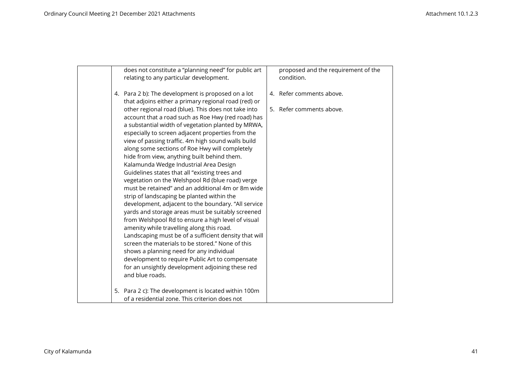| does not constitute a "planning need" for public art<br>relating to any particular development.                                                                                                                                                                                                                                                                                                                                                                                                                                                                                                                                                                                                                                                                                                                                                                                                                                                                                                                                                                                                                                                                                                                                                | proposed and the requirement of the<br>condition.    |
|------------------------------------------------------------------------------------------------------------------------------------------------------------------------------------------------------------------------------------------------------------------------------------------------------------------------------------------------------------------------------------------------------------------------------------------------------------------------------------------------------------------------------------------------------------------------------------------------------------------------------------------------------------------------------------------------------------------------------------------------------------------------------------------------------------------------------------------------------------------------------------------------------------------------------------------------------------------------------------------------------------------------------------------------------------------------------------------------------------------------------------------------------------------------------------------------------------------------------------------------|------------------------------------------------------|
| 4. Para 2 b): The development is proposed on a lot<br>that adjoins either a primary regional road (red) or<br>other regional road (blue). This does not take into<br>account that a road such as Roe Hwy (red road) has<br>a substantial width of vegetation planted by MRWA,<br>especially to screen adjacent properties from the<br>view of passing traffic. 4m high sound walls build<br>along some sections of Roe Hwy will completely<br>hide from view, anything built behind them.<br>Kalamunda Wedge Industrial Area Design<br>Guidelines states that all "existing trees and<br>vegetation on the Welshpool Rd (blue road) verge<br>must be retained" and an additional 4m or 8m wide<br>strip of landscaping be planted within the<br>development, adjacent to the boundary. "All service<br>yards and storage areas must be suitably screened<br>from Welshpool Rd to ensure a high level of visual<br>amenity while travelling along this road.<br>Landscaping must be of a sufficient density that will<br>screen the materials to be stored." None of this<br>shows a planning need for any individual<br>development to require Public Art to compensate<br>for an unsightly development adjoining these red<br>and blue roads. | 4. Refer comments above.<br>5. Refer comments above. |
| 5. Para 2 c): The development is located within 100m<br>of a residential zone. This criterion does not                                                                                                                                                                                                                                                                                                                                                                                                                                                                                                                                                                                                                                                                                                                                                                                                                                                                                                                                                                                                                                                                                                                                         |                                                      |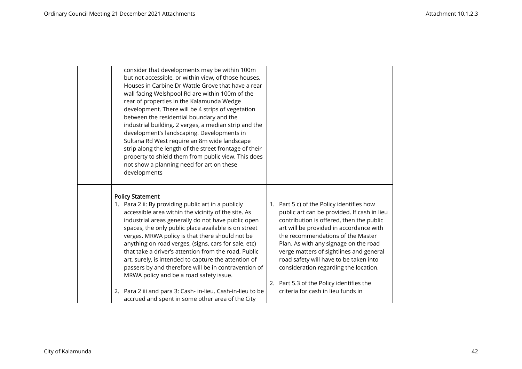| consider that developments may be within 100m<br>but not accessible, or within view, of those houses.<br>Houses in Carbine Dr Wattle Grove that have a rear<br>wall facing Welshpool Rd are within 100m of the<br>rear of properties in the Kalamunda Wedge<br>development. There will be 4 strips of vegetation<br>between the residential boundary and the<br>industrial building. 2 verges, a median strip and the<br>development's landscaping. Developments in<br>Sultana Rd West require an 8m wide landscape<br>strip along the length of the street frontage of their<br>property to shield them from public view. This does<br>not show a planning need for art on these<br>developments |                                                                                                                                                                                                                                                                                                                                                                                             |
|---------------------------------------------------------------------------------------------------------------------------------------------------------------------------------------------------------------------------------------------------------------------------------------------------------------------------------------------------------------------------------------------------------------------------------------------------------------------------------------------------------------------------------------------------------------------------------------------------------------------------------------------------------------------------------------------------|---------------------------------------------------------------------------------------------------------------------------------------------------------------------------------------------------------------------------------------------------------------------------------------------------------------------------------------------------------------------------------------------|
| <b>Policy Statement</b><br>1. Para 2 ii: By providing public art in a publicly<br>accessible area within the vicinity of the site. As<br>industrial areas generally do not have public open<br>spaces, the only public place available is on street<br>verges. MRWA policy is that there should not be<br>anything on road verges, (signs, cars for sale, etc)<br>that take a driver's attention from the road. Public<br>art, surely, is intended to capture the attention of<br>passers by and therefore will be in contravention of<br>MRWA policy and be a road safety issue.                                                                                                                 | 1. Part 5 c) of the Policy identifies how<br>public art can be provided. If cash in lieu<br>contribution is offered, then the public<br>art will be provided in accordance with<br>the recommendations of the Master<br>Plan. As with any signage on the road<br>verge matters of sightlines and general<br>road safety will have to be taken into<br>consideration regarding the location. |
| 2. Para 2 iii and para 3: Cash- in-lieu. Cash-in-lieu to be<br>accrued and spent in some other area of the City                                                                                                                                                                                                                                                                                                                                                                                                                                                                                                                                                                                   | 2. Part 5.3 of the Policy identifies the<br>criteria for cash in lieu funds in                                                                                                                                                                                                                                                                                                              |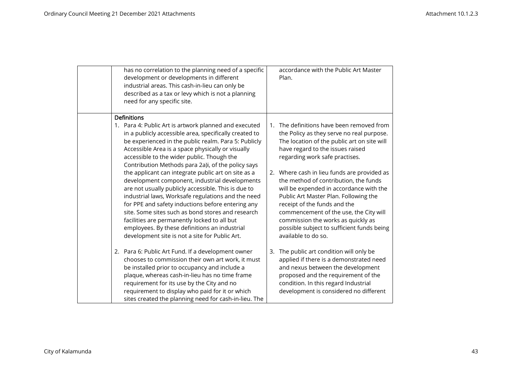| has no correlation to the planning need of a specific<br>development or developments in different<br>industrial areas. This cash-in-lieu can only be<br>described as a tax or levy which is not a planning<br>need for any specific site.                                                                                                                                                                                                                                       |    | accordance with the Public Art Master<br>Plan.                                                                                                                                                                                                                                                                                                                |
|---------------------------------------------------------------------------------------------------------------------------------------------------------------------------------------------------------------------------------------------------------------------------------------------------------------------------------------------------------------------------------------------------------------------------------------------------------------------------------|----|---------------------------------------------------------------------------------------------------------------------------------------------------------------------------------------------------------------------------------------------------------------------------------------------------------------------------------------------------------------|
| <b>Definitions</b><br>1. Para 4: Public Art is artwork planned and executed<br>in a publicly accessible area, specifically created to<br>be experienced in the public realm. Para 5: Publicly<br>Accessible Area is a space physically or visually<br>accessible to the wider public. Though the<br>Contribution Methods para 2a)i, of the policy says                                                                                                                          | 1. | The definitions have been removed from<br>the Policy as they serve no real purpose.<br>The location of the public art on site will<br>have regard to the issues raised<br>regarding work safe practises.                                                                                                                                                      |
| the applicant can integrate public art on site as a<br>development component, industrial developments<br>are not usually publicly accessible. This is due to<br>industrial laws, Worksafe regulations and the need<br>for PPE and safety inductions before entering any<br>site. Some sites such as bond stores and research<br>facilities are permanently locked to all but<br>employees. By these definitions an industrial<br>development site is not a site for Public Art. |    | 2. Where cash in lieu funds are provided as<br>the method of contribution, the funds<br>will be expended in accordance with the<br>Public Art Master Plan. Following the<br>receipt of the funds and the<br>commencement of the use, the City will<br>commission the works as quickly as<br>possible subject to sufficient funds being<br>available to do so. |
| 2. Para 6: Public Art Fund. If a development owner<br>chooses to commission their own art work, it must<br>be installed prior to occupancy and include a<br>plaque, whereas cash-in-lieu has no time frame<br>requirement for its use by the City and no<br>requirement to display who paid for it or which<br>sites created the planning need for cash-in-lieu. The                                                                                                            | 3. | The public art condition will only be<br>applied if there is a demonstrated need<br>and nexus between the development<br>proposed and the requirement of the<br>condition. In this regard Industrial<br>development is considered no different                                                                                                                |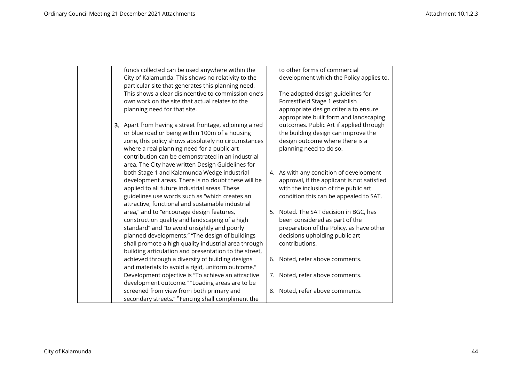| funds collected can be used anywhere within the         |    | to other forms of commercial                                                    |
|---------------------------------------------------------|----|---------------------------------------------------------------------------------|
| City of Kalamunda. This shows no relativity to the      |    | development which the Policy applies to.                                        |
| particular site that generates this planning need.      |    |                                                                                 |
| This shows a clear disincentive to commission one's     |    | The adopted design guidelines for                                               |
| own work on the site that actual relates to the         |    | Forrestfield Stage 1 establish                                                  |
| planning need for that site.                            |    | appropriate design criteria to ensure<br>appropriate built form and landscaping |
| 3. Apart from having a street frontage, adjoining a red |    | outcomes. Public Art if applied through                                         |
| or blue road or being within 100m of a housing          |    | the building design can improve the                                             |
| zone, this policy shows absolutely no circumstances     |    | design outcome where there is a                                                 |
| where a real planning need for a public art             |    | planning need to do so.                                                         |
| contribution can be demonstrated in an industrial       |    |                                                                                 |
| area. The City have written Design Guidelines for       |    |                                                                                 |
| both Stage 1 and Kalamunda Wedge industrial             |    | 4. As with any condition of development                                         |
| development areas. There is no doubt these will be      |    | approval, if the applicant is not satisfied                                     |
| applied to all future industrial areas. These           |    | with the inclusion of the public art                                            |
| guidelines use words such as "which creates an          |    | condition this can be appealed to SAT.                                          |
| attractive, functional and sustainable industrial       |    |                                                                                 |
| area," and to "encourage design features,               |    | 5. Noted. The SAT decision in BGC, has                                          |
| construction quality and landscaping of a high          |    | been considered as part of the                                                  |
| standard" and "to avoid unsightly and poorly            |    | preparation of the Policy, as have other                                        |
| planned developments." "The design of buildings         |    | decisions upholding public art                                                  |
| shall promote a high quality industrial area through    |    | contributions.                                                                  |
| building articulation and presentation to the street,   |    |                                                                                 |
| achieved through a diversity of building designs        |    | 6. Noted, refer above comments.                                                 |
| and materials to avoid a rigid, uniform outcome."       |    |                                                                                 |
| Development objective is "To achieve an attractive      | 7. | Noted, refer above comments.                                                    |
| development outcome." "Loading areas are to be          |    |                                                                                 |
| screened from view from both primary and                |    | 8. Noted, refer above comments.                                                 |
| secondary streets." "Fencing shall compliment the       |    |                                                                                 |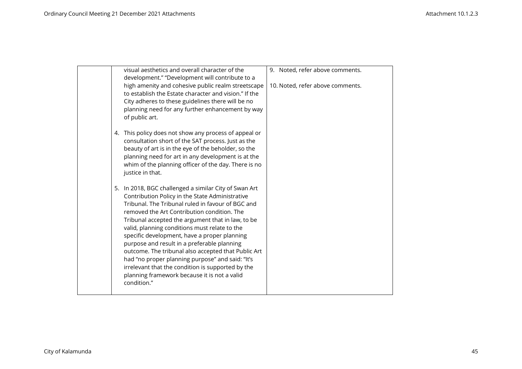| visual aesthetics and overall character of the<br>development." "Development will contribute to a<br>high amenity and cohesive public realm streetscape<br>to establish the Estate character and vision." If the<br>City adheres to these guidelines there will be no<br>planning need for any further enhancement by way<br>of public art.                                                                                                                                                                                                                                                                                                      | 9. Noted, refer above comments.<br>10. Noted, refer above comments. |
|--------------------------------------------------------------------------------------------------------------------------------------------------------------------------------------------------------------------------------------------------------------------------------------------------------------------------------------------------------------------------------------------------------------------------------------------------------------------------------------------------------------------------------------------------------------------------------------------------------------------------------------------------|---------------------------------------------------------------------|
| This policy does not show any process of appeal or<br>4.<br>consultation short of the SAT process. Just as the<br>beauty of art is in the eye of the beholder, so the<br>planning need for art in any development is at the<br>whim of the planning officer of the day. There is no<br>justice in that.                                                                                                                                                                                                                                                                                                                                          |                                                                     |
| 5. In 2018, BGC challenged a similar City of Swan Art<br>Contribution Policy in the State Administrative<br>Tribunal. The Tribunal ruled in favour of BGC and<br>removed the Art Contribution condition. The<br>Tribunal accepted the argument that in law, to be<br>valid, planning conditions must relate to the<br>specific development, have a proper planning<br>purpose and result in a preferable planning<br>outcome. The tribunal also accepted that Public Art<br>had "no proper planning purpose" and said: "It's<br>irrelevant that the condition is supported by the<br>planning framework because it is not a valid<br>condition." |                                                                     |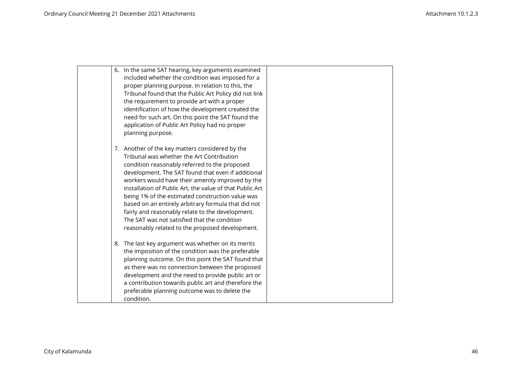| 6. In the same SAT hearing, key arguments examined<br>included whether the condition was imposed for a<br>proper planning purpose. In relation to this, the<br>Tribunal found that the Public Art Policy did not link<br>the requirement to provide art with a proper<br>identification of how the development created the<br>need for such art. On this point the SAT found the<br>application of Public Art Policy had no proper<br>planning purpose.                                                                                                                               |  |
|---------------------------------------------------------------------------------------------------------------------------------------------------------------------------------------------------------------------------------------------------------------------------------------------------------------------------------------------------------------------------------------------------------------------------------------------------------------------------------------------------------------------------------------------------------------------------------------|--|
| 7. Another of the key matters considered by the<br>Tribunal was whether the Art Contribution<br>condition reasonably referred to the proposed<br>development. The SAT found that even if additional<br>workers would have their amenity improved by the<br>installation of Public Art, the value of that Public Art<br>being 1% of the estimated construction value was<br>based on an entirely arbitrary formula that did not<br>fairly and reasonably relate to the development.<br>The SAT was not satisfied that the condition<br>reasonably related to the proposed development. |  |
| 8. The last key argument was whether on its merits<br>the imposition of the condition was the preferable<br>planning outcome. On this point the SAT found that<br>as there was no connection between the proposed<br>development and the need to provide public art or<br>a contribution towards public art and therefore the<br>preferable planning outcome was to delete the<br>condition.                                                                                                                                                                                          |  |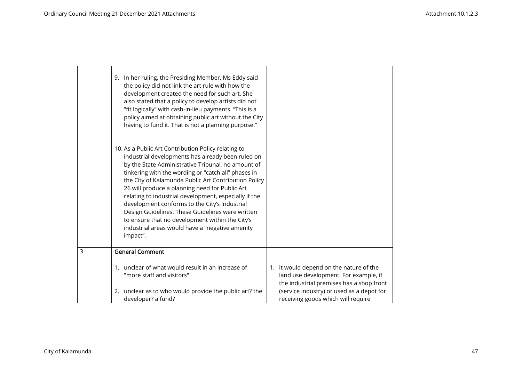|   | 9. In her ruling, the Presiding Member, Ms Eddy said<br>the policy did not link the art rule with how the<br>development created the need for such art. She<br>also stated that a policy to develop artists did not<br>"fit logically" with cash-in-lieu payments. "This is a<br>policy aimed at obtaining public art without the City<br>having to fund it. That is not a planning purpose."                                                                                                                                                                                                                   |                                                                                                                                                                           |
|---|-----------------------------------------------------------------------------------------------------------------------------------------------------------------------------------------------------------------------------------------------------------------------------------------------------------------------------------------------------------------------------------------------------------------------------------------------------------------------------------------------------------------------------------------------------------------------------------------------------------------|---------------------------------------------------------------------------------------------------------------------------------------------------------------------------|
|   | 10. As a Public Art Contribution Policy relating to<br>industrial developments has already been ruled on<br>by the State Administrative Tribunal, no amount of<br>tinkering with the wording or "catch all" phases in<br>the City of Kalamunda Public Art Contribution Policy<br>26 will produce a planning need for Public Art<br>relating to industrial development, especially if the<br>development conforms to the City's Industrial<br>Design Guidelines. These Guidelines were written<br>to ensure that no development within the City's<br>industrial areas would have a "negative amenity<br>impact". |                                                                                                                                                                           |
| 3 | <b>General Comment</b>                                                                                                                                                                                                                                                                                                                                                                                                                                                                                                                                                                                          |                                                                                                                                                                           |
|   | 1. unclear of what would result in an increase of<br>"more staff and visitors"<br>2. unclear as to who would provide the public art? the                                                                                                                                                                                                                                                                                                                                                                                                                                                                        | 1. it would depend on the nature of the<br>land use development. For example, if<br>the industrial premises has a shop front<br>(service industry) or used as a depot for |
|   | developer? a fund?                                                                                                                                                                                                                                                                                                                                                                                                                                                                                                                                                                                              | receiving goods which will require                                                                                                                                        |